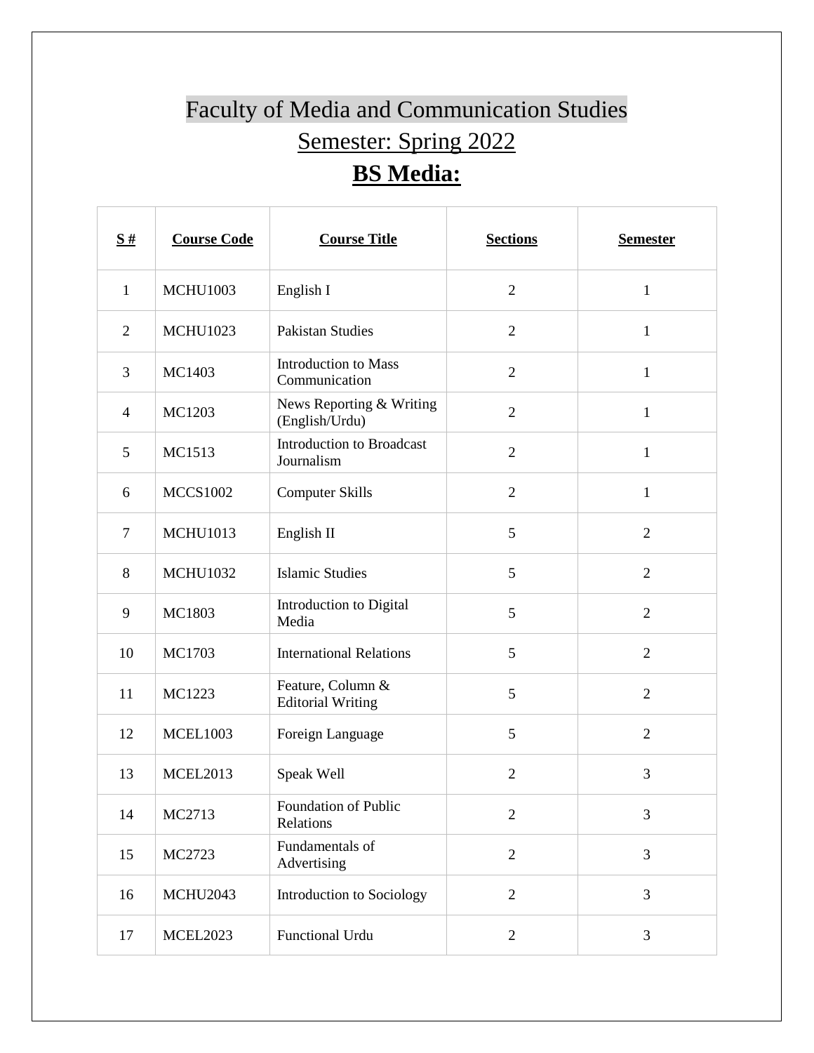## Faculty of Media and Communication Studies Semester: Spring 2022 **BS Media:**

| $\frac{S#}{4}$ | <b>Course Code</b> | <b>Course Title</b>                            | <b>Sections</b> | <b>Semester</b> |
|----------------|--------------------|------------------------------------------------|-----------------|-----------------|
| $\mathbf{1}$   | <b>MCHU1003</b>    | English I                                      | $\overline{2}$  | $\mathbf{1}$    |
| $\overline{2}$ | <b>MCHU1023</b>    | <b>Pakistan Studies</b>                        | $\mathfrak{2}$  | $\mathbf{1}$    |
| 3              | MC1403             | <b>Introduction to Mass</b><br>Communication   | $\overline{2}$  | $\mathbf{1}$    |
| $\overline{4}$ | MC1203             | News Reporting & Writing<br>(English/Urdu)     | $\overline{2}$  | $\mathbf{1}$    |
| 5              | MC1513             | <b>Introduction to Broadcast</b><br>Journalism | $\overline{2}$  | $\mathbf{1}$    |
| 6              | <b>MCCS1002</b>    | <b>Computer Skills</b>                         | $\overline{2}$  | $\mathbf{1}$    |
| $\tau$         | <b>MCHU1013</b>    | English II                                     | 5               | $\overline{2}$  |
| 8              | <b>MCHU1032</b>    | <b>Islamic Studies</b>                         | 5               | $\overline{2}$  |
| 9              | MC1803             | Introduction to Digital<br>Media               | 5               | $\overline{2}$  |
| 10             | MC1703             | <b>International Relations</b>                 | 5               | $\overline{2}$  |
| 11             | MC1223             | Feature, Column &<br><b>Editorial Writing</b>  | 5               | $\overline{2}$  |
| 12             | <b>MCEL1003</b>    | Foreign Language                               | 5               | $\overline{2}$  |
| 13             | <b>MCEL2013</b>    | Speak Well                                     | $\overline{2}$  | 3               |
| 14             | MC2713             | Foundation of Public<br>Relations              | 2               | 3               |
| 15             | MC2723             | Fundamentals of<br>Advertising                 | $\mathbf{2}$    | 3               |
| 16             | <b>MCHU2043</b>    | Introduction to Sociology                      | $\overline{2}$  | 3               |
| 17             | <b>MCEL2023</b>    | Functional Urdu                                | $\overline{2}$  | 3               |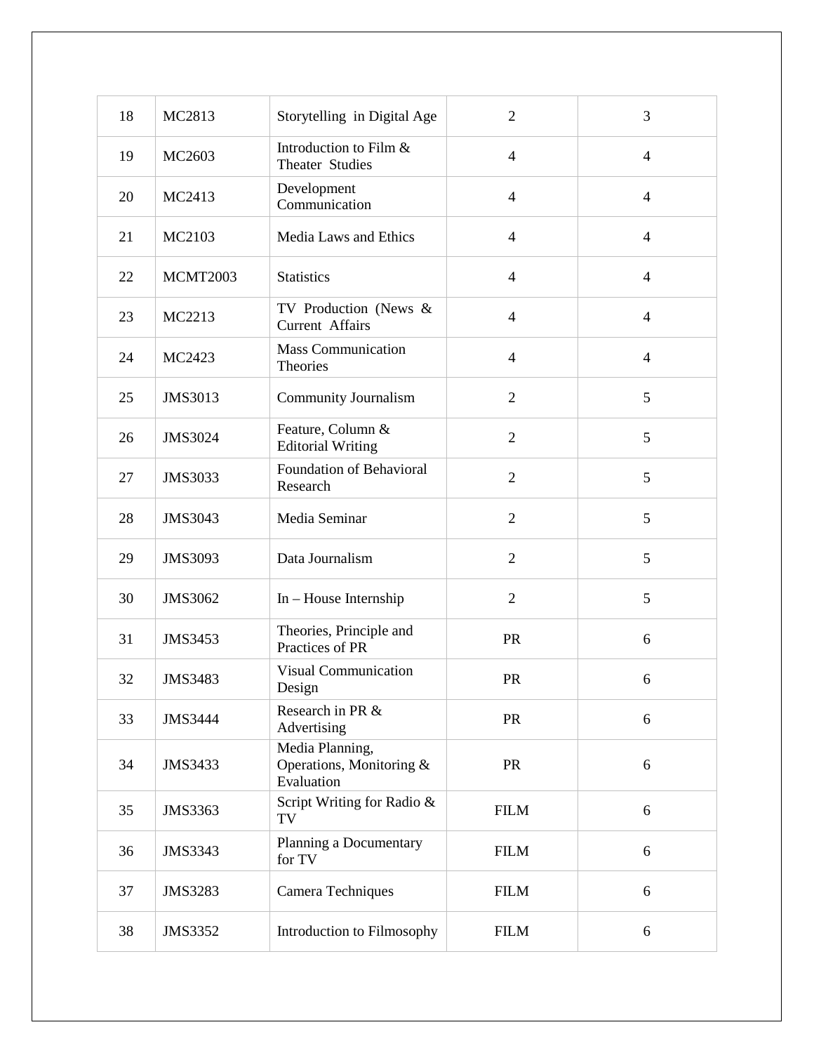| 18 | MC2813         | Storytelling in Digital Age                               | $\overline{2}$ | 3              |
|----|----------------|-----------------------------------------------------------|----------------|----------------|
| 19 | MC2603         | Introduction to Film &<br>Theater Studies                 | $\overline{4}$ | $\overline{4}$ |
| 20 | MC2413         | Development<br>Communication                              | $\overline{4}$ | $\overline{4}$ |
| 21 | MC2103         | Media Laws and Ethics                                     | $\overline{4}$ | $\overline{4}$ |
| 22 | MCMT2003       | <b>Statistics</b>                                         | $\overline{4}$ | $\overline{4}$ |
| 23 | MC2213         | TV Production (News &<br>Current Affairs                  | $\overline{4}$ | $\overline{4}$ |
| 24 | MC2423         | Mass Communication<br>Theories                            | $\overline{4}$ | $\overline{4}$ |
| 25 | JMS3013        | <b>Community Journalism</b>                               | $\overline{2}$ | 5              |
| 26 | JMS3024        | Feature, Column &<br><b>Editorial Writing</b>             | $\overline{2}$ | 5              |
| 27 | JMS3033        | Foundation of Behavioral<br>Research                      | $\overline{2}$ | 5              |
| 28 | JMS3043        | Media Seminar                                             | $\overline{2}$ | 5              |
| 29 | JMS3093        | Data Journalism                                           | $\overline{2}$ | 5              |
| 30 | JMS3062        | In - House Internship                                     | $\overline{2}$ | 5              |
| 31 | <b>JMS3453</b> | Theories, Principle and<br>Practices of PR                | PR             | 6              |
| 32 | <b>JMS3483</b> | <b>Visual Communication</b><br>Design                     | PR             | 6              |
| 33 | <b>JMS3444</b> | Research in PR &<br>Advertising                           | PR             | 6              |
| 34 | JMS3433        | Media Planning,<br>Operations, Monitoring &<br>Evaluation | PR             | 6              |
| 35 | JMS3363        | Script Writing for Radio &<br>TV                          | <b>FILM</b>    | 6              |
| 36 | JMS3343        | Planning a Documentary<br>for TV                          | <b>FILM</b>    | 6              |
| 37 | <b>JMS3283</b> | Camera Techniques                                         | <b>FILM</b>    | 6              |
| 38 | JMS3352        | Introduction to Filmosophy                                | <b>FILM</b>    | 6              |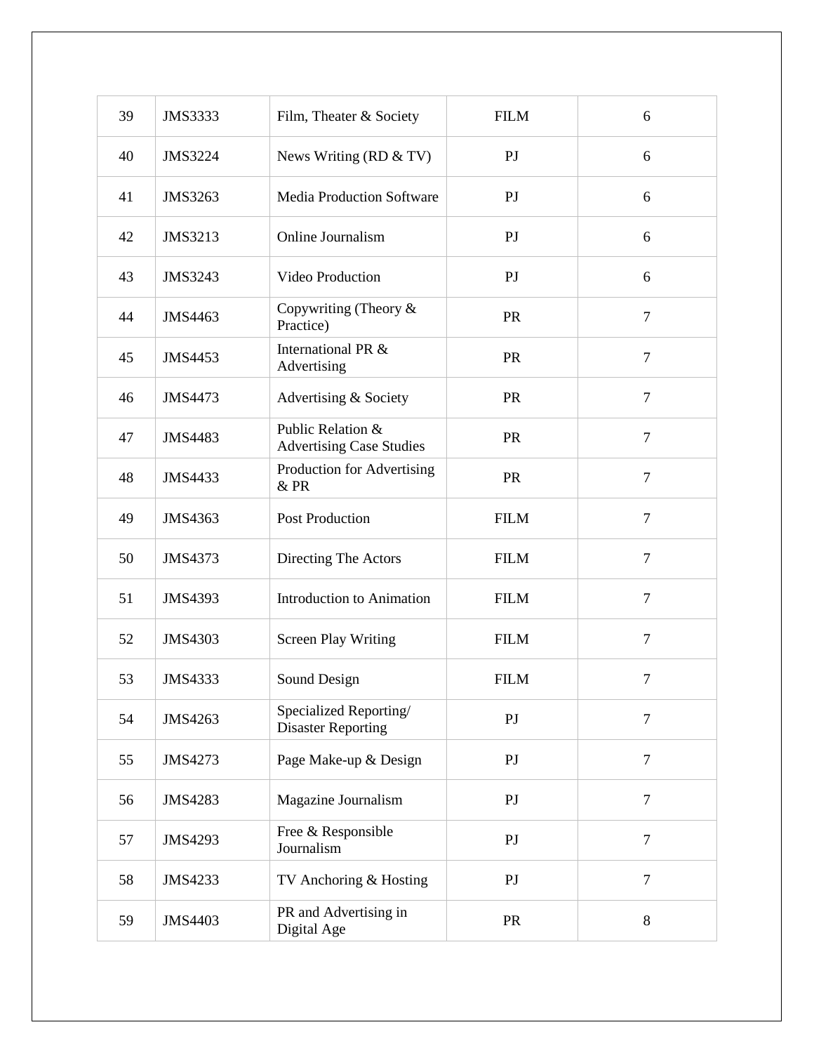| 39 | <b>JMS3333</b> | Film, Theater & Society                              | <b>FILM</b>    | 6              |
|----|----------------|------------------------------------------------------|----------------|----------------|
| 40 | <b>JMS3224</b> | News Writing (RD $&$ TV)                             | P <sub>J</sub> | 6              |
| 41 | JMS3263        | <b>Media Production Software</b>                     | P <sub>J</sub> | 6              |
| 42 | JMS3213        | Online Journalism                                    | P <sub>J</sub> | 6              |
| 43 | JMS3243        | Video Production                                     | P <sub>J</sub> | 6              |
| 44 | JMS4463        | Copywriting (Theory $\&$<br>Practice)                | <b>PR</b>      | $\overline{7}$ |
| 45 | JMS4453        | International PR &<br>Advertising                    | PR             | $\overline{7}$ |
| 46 | JMS4473        | Advertising & Society                                | <b>PR</b>      | $\overline{7}$ |
| 47 | <b>JMS4483</b> | Public Relation &<br><b>Advertising Case Studies</b> | PR             | $\overline{7}$ |
| 48 | JMS4433        | Production for Advertising<br>& PR                   | PR             | $\overline{7}$ |
| 49 | JMS4363        | <b>Post Production</b>                               | <b>FILM</b>    | $\overline{7}$ |
| 50 | JMS4373        | Directing The Actors                                 | <b>FILM</b>    | $\overline{7}$ |
| 51 | <b>JMS4393</b> | Introduction to Animation                            | <b>FILM</b>    | $\overline{7}$ |
| 52 | <b>JMS4303</b> | <b>Screen Play Writing</b>                           | <b>FILM</b>    | $\overline{7}$ |
| 53 | JMS4333        | Sound Design                                         | <b>FILM</b>    | $\tau$         |
| 54 | JMS4263        | Specialized Reporting/<br><b>Disaster Reporting</b>  | PJ             | $\overline{7}$ |
| 55 | JMS4273        | Page Make-up & Design                                | P <sub>J</sub> | $\overline{7}$ |
| 56 | <b>JMS4283</b> | Magazine Journalism                                  | P <sub>J</sub> | $\overline{7}$ |
| 57 | JMS4293        | Free & Responsible<br>Journalism                     | P <sub>J</sub> | $\overline{7}$ |
| 58 | JMS4233        | TV Anchoring & Hosting                               | P <sub>J</sub> | $\tau$         |
| 59 | JMS4403        | PR and Advertising in<br>Digital Age                 | <b>PR</b>      | 8              |